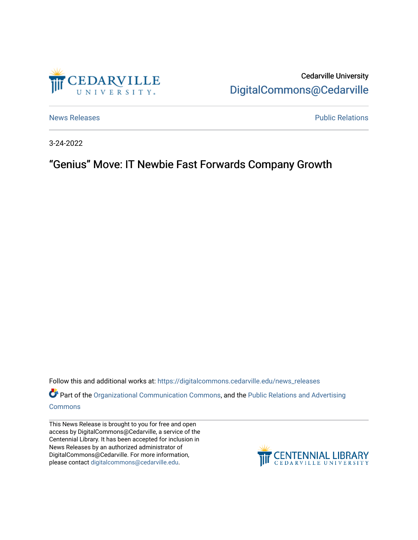

Cedarville University [DigitalCommons@Cedarville](https://digitalcommons.cedarville.edu/) 

[News Releases](https://digitalcommons.cedarville.edu/news_releases) **Public Relations Public Relations** 

3-24-2022

## "Genius" Move: IT Newbie Fast Forwards Company Growth

Follow this and additional works at: [https://digitalcommons.cedarville.edu/news\\_releases](https://digitalcommons.cedarville.edu/news_releases?utm_source=digitalcommons.cedarville.edu%2Fnews_releases%2F1523&utm_medium=PDF&utm_campaign=PDFCoverPages) 

Part of the [Organizational Communication Commons](http://network.bepress.com/hgg/discipline/335?utm_source=digitalcommons.cedarville.edu%2Fnews_releases%2F1523&utm_medium=PDF&utm_campaign=PDFCoverPages), and the Public Relations and Advertising [Commons](http://network.bepress.com/hgg/discipline/336?utm_source=digitalcommons.cedarville.edu%2Fnews_releases%2F1523&utm_medium=PDF&utm_campaign=PDFCoverPages)

This News Release is brought to you for free and open access by DigitalCommons@Cedarville, a service of the Centennial Library. It has been accepted for inclusion in News Releases by an authorized administrator of DigitalCommons@Cedarville. For more information, please contact [digitalcommons@cedarville.edu](mailto:digitalcommons@cedarville.edu).

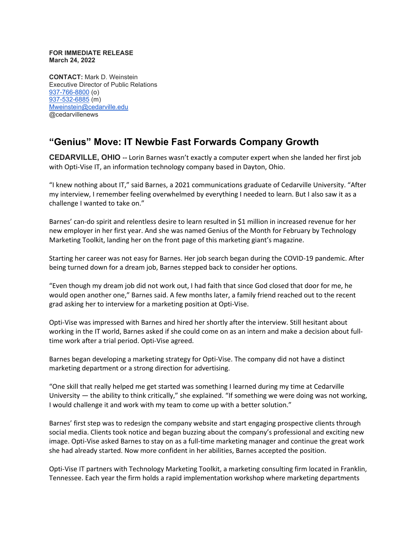## **FOR IMMEDIATE RELEASE March 24, 2022**

**CONTACT:** Mark D. Weinstein Executive Director of Public Relations [937-766-8800](tel:937-766-8800) (o) [937-532-6885](tel:937-532-6885) (m) [Mweinstein@cedarville.edu](mailto:Mweinstein@cedarville.edu) @cedarvillenews

## **"Genius" Move: IT Newbie Fast Forwards Company Growth**

**CEDARVILLE, OHIO --** Lorin Barnes wasn't exactly a computer expert when she landed her first job with Opti-Vise IT, an information technology company based in Dayton, Ohio.

"I knew nothing about IT," said Barnes, a 2021 communications graduate of Cedarville University. "After my interview, I remember feeling overwhelmed by everything I needed to learn. But I also saw it as a challenge I wanted to take on."

Barnes' can-do spirit and relentless desire to learn resulted in \$1 million in increased revenue for her new employer in her first year. And she was named Genius of the Month for February by Technology Marketing Toolkit, landing her on the front page of this marketing giant's magazine.

Starting her career was not easy for Barnes. Her job search began during the COVID-19 pandemic. After being turned down for a dream job, Barnes stepped back to consider her options.

"Even though my dream job did not work out, I had faith that since God closed that door for me, he would open another one," Barnes said. A few months later, a family friend reached out to the recent grad asking her to interview for a marketing position at Opti-Vise.

Opti-Vise was impressed with Barnes and hired her shortly after the interview. Still hesitant about working in the IT world, Barnes asked if she could come on as an intern and make a decision about fulltime work after a trial period. Opti-Vise agreed.

Barnes began developing a marketing strategy for Opti-Vise. The company did not have a distinct marketing department or a strong direction for advertising.

"One skill that really helped me get started was something I learned during my time at Cedarville University — the ability to think critically," she explained. "If something we were doing was not working, I would challenge it and work with my team to come up with a better solution."

Barnes' first step was to redesign the company website and start engaging prospective clients through social media. Clients took notice and began buzzing about the company's professional and exciting new image. Opti-Vise asked Barnes to stay on as a full-time marketing manager and continue the great work she had already started. Now more confident in her abilities, Barnes accepted the position.

Opti-Vise IT partners with Technology Marketing Toolkit, a marketing consulting firm located in Franklin, Tennessee. Each year the firm holds a rapid implementation workshop where marketing departments